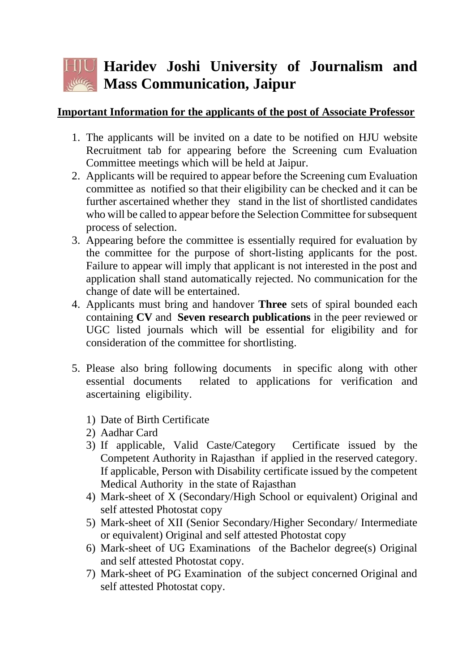## **Haridev Joshi University of Journalism and Mass Communication, Jaipur**

## **Important Information for the applicants of the post of Associate Professor**

- 1. The applicants will be invited on a date to be notified on HJU website Recruitment tab for appearing before the Screening cum Evaluation Committee meetings which will be held at Jaipur.
- 2. Applicants will be required to appear before the Screening cum Evaluation committee as notified so that their eligibility can be checked and it can be further ascertained whether they stand in the list of shortlisted candidates who will be called to appear before the Selection Committee for subsequent process of selection.
- 3. Appearing before the committee is essentially required for evaluation by the committee for the purpose of short-listing applicants for the post. Failure to appear will imply that applicant is not interested in the post and application shall stand automatically rejected. No communication for the change of date will be entertained.
- 4. Applicants must bring and handover **Three** sets of spiral bounded each containing **CV** and **Seven research publications** in the peer reviewed or UGC listed journals which will be essential for eligibility and for consideration of the committee for shortlisting.
- 5. Please also bring following documents in specific along with other essential documents related to applications for verification and ascertaining eligibility.
	- 1) Date of Birth Certificate
	- 2) Aadhar Card
	- 3) If applicable, Valid Caste/Category Certificate issued by the Competent Authority in Rajasthan if applied in the reserved category. If applicable, Person with Disability certificate issued by the competent Medical Authority in the state of Rajasthan
	- 4) Mark-sheet of X (Secondary/High School or equivalent) Original and self attested Photostat copy
	- 5) Mark-sheet of XII (Senior Secondary/Higher Secondary/ Intermediate or equivalent) Original and self attested Photostat copy
	- 6) Mark-sheet of UG Examinations of the Bachelor degree(s) Original and self attested Photostat copy.
	- 7) Mark-sheet of PG Examination of the subject concerned Original and self attested Photostat copy.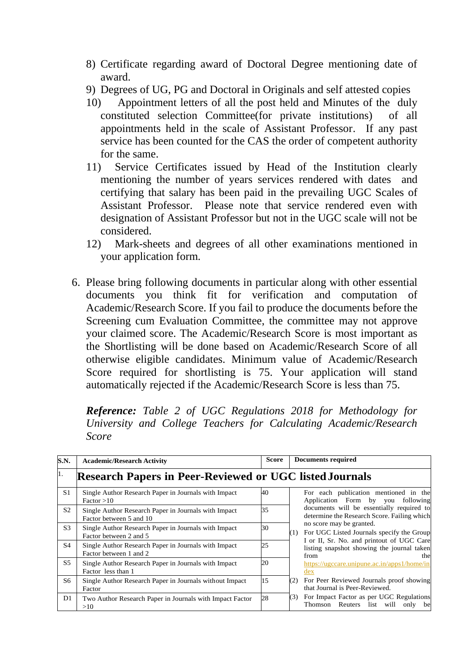- 8) Certificate regarding award of Doctoral Degree mentioning date of award.
- 9) Degrees of UG, PG and Doctoral in Originals and self attested copies
- 10) Appointment letters of all the post held and Minutes of the duly constituted selection Committee(for private institutions) of all appointments held in the scale of Assistant Professor. If any past service has been counted for the CAS the order of competent authority for the same.
- 11) Service Certificates issued by Head of the Institution clearly mentioning the number of years services rendered with dates and certifying that salary has been paid in the prevailing UGC Scales of Assistant Professor. Please note that service rendered even with designation of Assistant Professor but not in the UGC scale will not be considered.
- 12) Mark-sheets and degrees of all other examinations mentioned in your application form.
- 6. Please bring following documents in particular along with other essential documents you think fit for verification and computation of Academic/Research Score. If you fail to produce the documents before the Screening cum Evaluation Committee, the committee may not approve your claimed score. The Academic/Research Score is most important as the Shortlisting will be done based on Academic/Research Score of all otherwise eligible candidates. Minimum value of Academic/Research Score required for shortlisting is 75. Your application will stand automatically rejected if the Academic/Research Score is less than 75.

*Reference: Table 2 of UGC Regulations 2018 for Methodology for University and College Teachers for Calculating Academic/Research Score*

| S.N.           | <b>Academic/Research Activity</b>                                               | <b>Score</b> | <b>Documents required</b>                                                                              |
|----------------|---------------------------------------------------------------------------------|--------------|--------------------------------------------------------------------------------------------------------|
| 11.            | <b>Research Papers in Peer-Reviewed or UGC listed Journals</b>                  |              |                                                                                                        |
| S <sub>1</sub> | Single Author Research Paper in Journals with Impact<br>Factor > 10             | 40           | For each publication mentioned in the<br>Application Form by you following                             |
| S <sub>2</sub> | Single Author Research Paper in Journals with Impact<br>Factor between 5 and 10 | 35           | documents will be essentially required to<br>determine the Research Score. Failing which               |
| S <sub>3</sub> | Single Author Research Paper in Journals with Impact<br>Factor between 2 and 5  | 30           | no score may be granted.<br>For UGC Listed Journals specify the Group<br>(1)                           |
| S <sub>4</sub> | Single Author Research Paper in Journals with Impact<br>Factor between 1 and 2  | 25           | I or II, Sr. No. and printout of UGC Care<br>listing snapshot showing the journal taken<br>from<br>the |
| S <sub>5</sub> | Single Author Research Paper in Journals with Impact<br>Factor less than 1      | 20           | https://ugccare.unipune.ac.in/apps1/home/in<br>dex                                                     |
| S6             | Single Author Research Paper in Journals without Impact<br>Factor               | 15           | For Peer Reviewed Journals proof showing<br>(2)<br>that Journal is Peer-Reviewed.                      |
| D1             | Two Author Research Paper in Journals with Impact Factor<br>>10                 | 28           | For Impact Factor as per UGC Regulations<br>(3)<br>will only<br>Reuters<br>list<br>Thomson<br>be       |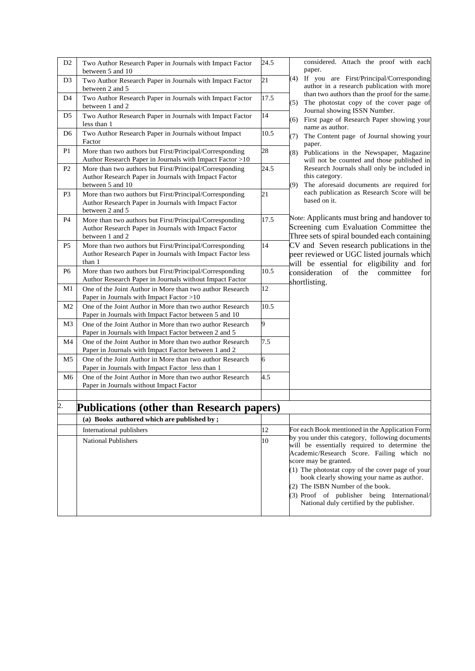| D <sub>2</sub> | Two Author Research Paper in Journals with Impact Factor<br>between 5 and 10                                                        | 24.5 | considered. Attach the proof with each<br>paper.                                                                                                                                                                                                                                                                                                                                                        |
|----------------|-------------------------------------------------------------------------------------------------------------------------------------|------|---------------------------------------------------------------------------------------------------------------------------------------------------------------------------------------------------------------------------------------------------------------------------------------------------------------------------------------------------------------------------------------------------------|
| D <sub>3</sub> | Two Author Research Paper in Journals with Impact Factor<br>between 2 and 5                                                         | 21   | If you are First/Principal/Corresponding<br>(4)<br>author in a research publication with more                                                                                                                                                                                                                                                                                                           |
| D4             | Two Author Research Paper in Journals with Impact Factor<br>between 1 and 2                                                         | 17.5 | than two authors than the proof for the same.<br>The photostat copy of the cover page of<br>(5)                                                                                                                                                                                                                                                                                                         |
| D <sub>5</sub> | Two Author Research Paper in Journals with Impact Factor<br>less than 1                                                             | 14   | Journal showing ISSN Number.<br>First page of Research Paper showing your<br>(6)<br>name as author.                                                                                                                                                                                                                                                                                                     |
| D <sub>6</sub> | Two Author Research Paper in Journals without Impact<br>Factor                                                                      | 10.5 | The Content page of Journal showing your<br>(7)<br>paper.                                                                                                                                                                                                                                                                                                                                               |
| P <sub>1</sub> | More than two authors but First/Principal/Corresponding<br>Author Research Paper in Journals with Impact Factor >10                 | 28   | (8)<br>Publications in the Newspaper, Magazine<br>will not be counted and those published in                                                                                                                                                                                                                                                                                                            |
| P <sub>2</sub> | More than two authors but First/Principal/Corresponding<br>Author Research Paper in Journals with Impact Factor<br>between 5 and 10 | 24.5 | Research Journals shall only be included in<br>this category.<br>The aforesaid documents are required for<br>(9)                                                                                                                                                                                                                                                                                        |
| P <sub>3</sub> | More than two authors but First/Principal/Corresponding<br>Author Research Paper in Journals with Impact Factor<br>between 2 and 5  | 21   | each publication as Research Score will be<br>based on it.                                                                                                                                                                                                                                                                                                                                              |
| <b>P4</b>      | More than two authors but First/Principal/Corresponding<br>Author Research Paper in Journals with Impact Factor<br>between 1 and 2  | 17.5 | Note: Applicants must bring and handover to<br>Screening cum Evaluation Committee the<br>Three sets of spiral bounded each containing                                                                                                                                                                                                                                                                   |
| P <sub>5</sub> | More than two authors but First/Principal/Corresponding<br>Author Research Paper in Journals with Impact Factor less<br>than 1      | 14   | CV and Seven research publications in the<br>peer reviewed or UGC listed journals which<br>will be essential for eligibility and for                                                                                                                                                                                                                                                                    |
| P <sub>6</sub> | More than two authors but First/Principal/Corresponding<br>Author Research Paper in Journals without Impact Factor                  | 10.5 | consideration<br>of<br>the<br>committee<br>for<br>shortlisting.                                                                                                                                                                                                                                                                                                                                         |
| M1             | One of the Joint Author in More than two author Research<br>Paper in Journals with Impact Factor >10                                | 12   |                                                                                                                                                                                                                                                                                                                                                                                                         |
| M <sub>2</sub> | One of the Joint Author in More than two author Research<br>Paper in Journals with Impact Factor between 5 and 10                   | 10.5 |                                                                                                                                                                                                                                                                                                                                                                                                         |
| M <sub>3</sub> | One of the Joint Author in More than two author Research<br>Paper in Journals with Impact Factor between 2 and 5                    | 9    |                                                                                                                                                                                                                                                                                                                                                                                                         |
| M <sub>4</sub> | One of the Joint Author in More than two author Research<br>Paper in Journals with Impact Factor between 1 and 2                    | 7.5  |                                                                                                                                                                                                                                                                                                                                                                                                         |
| M <sub>5</sub> | One of the Joint Author in More than two author Research<br>Paper in Journals with Impact Factor less than 1                        | 6    |                                                                                                                                                                                                                                                                                                                                                                                                         |
| M <sub>6</sub> | One of the Joint Author in More than two author Research<br>Paper in Journals without Impact Factor                                 | 4.5  |                                                                                                                                                                                                                                                                                                                                                                                                         |
| 2.             | Publications (other than Research papers)                                                                                           |      |                                                                                                                                                                                                                                                                                                                                                                                                         |
|                | (a) Books authored which are published by;                                                                                          |      |                                                                                                                                                                                                                                                                                                                                                                                                         |
|                | International publishers                                                                                                            | 12   | For each Book mentioned in the Application Form                                                                                                                                                                                                                                                                                                                                                         |
|                | <b>National Publishers</b>                                                                                                          | 10   | by you under this category, following documents<br>will be essentially required to determine the<br>Academic/Research Score. Failing which no<br>score may be granted.<br>(1) The photostat copy of the cover page of your<br>book clearly showing your name as author.<br>(2) The ISBN Number of the book.<br>(3) Proof of publisher being International/<br>National duly certified by the publisher. |
|                |                                                                                                                                     |      |                                                                                                                                                                                                                                                                                                                                                                                                         |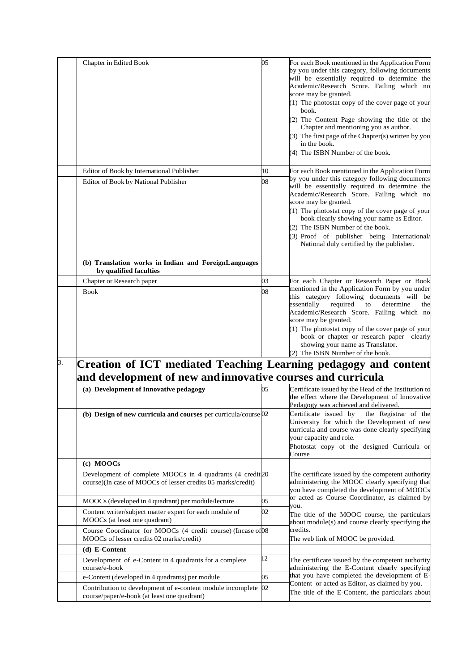|    | Chapter in Edited Book                                                                                                   | 05       | For each Book mentioned in the Application Form<br>by you under this category, following documents<br>will be essentially required to determine the<br>Academic/Research Score. Failing which no<br>score may be granted.<br>$(1)$ The photostat copy of the cover page of your<br>book.<br>(2) The Content Page showing the title of the<br>Chapter and mentioning you as author.<br>(3) The first page of the Chapter(s) written by you<br>in the book.<br>(4) The ISBN Number of the book. |
|----|--------------------------------------------------------------------------------------------------------------------------|----------|-----------------------------------------------------------------------------------------------------------------------------------------------------------------------------------------------------------------------------------------------------------------------------------------------------------------------------------------------------------------------------------------------------------------------------------------------------------------------------------------------|
|    | Editor of Book by International Publisher                                                                                | 10       | For each Book mentioned in the Application Form                                                                                                                                                                                                                                                                                                                                                                                                                                               |
|    | Editor of Book by National Publisher                                                                                     | 08       | by you under this category following documents<br>will be essentially required to determine the<br>Academic/Research Score. Failing which no<br>score may be granted.<br>(1) The photostat copy of the cover page of your<br>book clearly showing your name as Editor.<br>(2) The ISBN Number of the book.<br>(3) Proof of publisher being International/<br>National duly certified by the publisher.                                                                                        |
|    | (b) Translation works in Indian and ForeignLanguages<br>by qualified faculties                                           |          |                                                                                                                                                                                                                                                                                                                                                                                                                                                                                               |
|    | Chapter or Research paper                                                                                                | 03       | For each Chapter or Research Paper or Book                                                                                                                                                                                                                                                                                                                                                                                                                                                    |
|    | <b>Book</b>                                                                                                              | 08       | mentioned in the Application Form by you under<br>this category following documents will be<br>required<br>essentially<br>determine<br>to<br>the<br>Academic/Research Score. Failing which no<br>score may be granted.                                                                                                                                                                                                                                                                        |
|    |                                                                                                                          |          | (1) The photostat copy of the cover page of your<br>book or chapter or research paper clearly<br>showing your name as Translator.<br>(2) The ISBN Number of the book.                                                                                                                                                                                                                                                                                                                         |
|    | Creation of ICT mediated Teaching Learning pedagogy and content                                                          |          |                                                                                                                                                                                                                                                                                                                                                                                                                                                                                               |
| 3. | and development of new and innovative courses and curricula<br>(a) Development of Innovative pedagogy                    | 05       | Certificate issued by the Head of the Institution to<br>the effect where the Development of Innovative                                                                                                                                                                                                                                                                                                                                                                                        |
|    | (b) Design of new curricula and courses per curricula/course 02                                                          |          | Pedagogy was achieved and delivered.<br>Certificate issued by<br>the Registrar of the<br>University for which the Development of new<br>curricula and course was done clearly specifying<br>your capacity and role.<br>Photostat copy of the designed Curricula or<br>Course                                                                                                                                                                                                                  |
|    | (c) MOOCs                                                                                                                |          |                                                                                                                                                                                                                                                                                                                                                                                                                                                                                               |
|    | Development of complete MOOCs in 4 quadrants (4 credit 20<br>course)(In case of MOOCs of lesser credits 05 marks/credit) |          | The certificate issued by the competent authority<br>administering the MOOC clearly specifying that<br>you have completed the development of MOOCs                                                                                                                                                                                                                                                                                                                                            |
|    | MOOCs (developed in 4 quadrant) per module/lecture                                                                       | 05       | or acted as Course Coordinator, as claimed by                                                                                                                                                                                                                                                                                                                                                                                                                                                 |
|    | Content writer/subject matter expert for each module of<br>MOOCs (at least one quadrant)                                 | 02       | you.<br>The title of the MOOC course, the particulars<br>about module(s) and course clearly specifying the                                                                                                                                                                                                                                                                                                                                                                                    |
|    | Course Coordinator for MOOCs (4 credit course) (Incase of 08<br>MOOCs of lesser credits 02 marks/credit)                 |          | credits.<br>The web link of MOOC be provided.                                                                                                                                                                                                                                                                                                                                                                                                                                                 |
|    | (d) E-Content                                                                                                            |          |                                                                                                                                                                                                                                                                                                                                                                                                                                                                                               |
|    | Development of e-Content in 4 quadrants for a complete<br>course/e-book                                                  | 12       | The certificate issued by the competent authority<br>administering the E-Content clearly specifying                                                                                                                                                                                                                                                                                                                                                                                           |
|    | e-Content (developed in 4 quadrants) per module<br>Contribution to development of e-content module incomplete            | 05<br>02 | that you have completed the development of E-<br>Content or acted as Editor, as claimed by you.                                                                                                                                                                                                                                                                                                                                                                                               |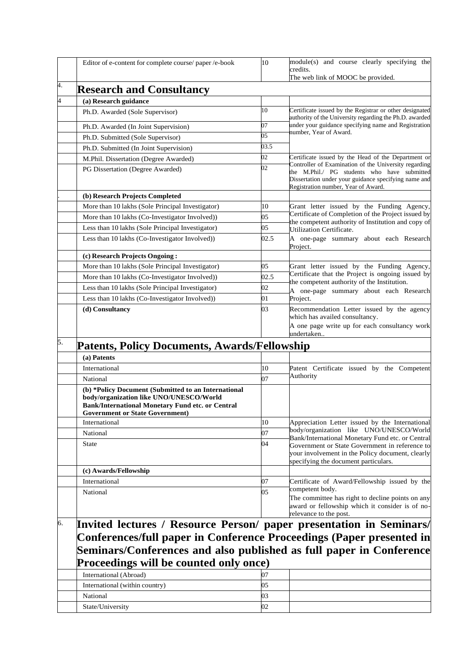|                          | Editor of e-content for complete course/ paper /e-book                                                                                        | 10     | module(s) and course clearly specifying the<br>credits.                                                                                                                                             |  |
|--------------------------|-----------------------------------------------------------------------------------------------------------------------------------------------|--------|-----------------------------------------------------------------------------------------------------------------------------------------------------------------------------------------------------|--|
|                          |                                                                                                                                               |        | The web link of MOOC be provided.                                                                                                                                                                   |  |
| 4.                       | <b>Research and Consultancy</b>                                                                                                               |        |                                                                                                                                                                                                     |  |
| $\overline{\mathcal{L}}$ | (a) Research guidance                                                                                                                         |        |                                                                                                                                                                                                     |  |
|                          | Ph.D. Awarded (Sole Supervisor)                                                                                                               | 10     | Certificate issued by the Registrar or other designated<br>authority of the University regarding the Ph.D. awarded                                                                                  |  |
|                          | Ph.D. Awarded (In Joint Supervision)                                                                                                          | 07     | under your guidance specifying name and Registration<br>number, Year of Award.                                                                                                                      |  |
|                          | Ph.D. Submitted (Sole Supervisor)                                                                                                             | 05     |                                                                                                                                                                                                     |  |
|                          | Ph.D. Submitted (In Joint Supervision)                                                                                                        | 03.5   |                                                                                                                                                                                                     |  |
|                          | M.Phil. Dissertation (Degree Awarded)                                                                                                         | 02     | Certificate issued by the Head of the Department or                                                                                                                                                 |  |
|                          | PG Dissertation (Degree Awarded)                                                                                                              | $02\,$ | Controller of Examination of the University regarding<br>the M.Phil./ PG students who have submitted<br>Dissertation under your guidance specifying name and<br>Registration number, Year of Award. |  |
|                          | (b) Research Projects Completed                                                                                                               |        |                                                                                                                                                                                                     |  |
|                          | More than 10 lakhs (Sole Principal Investigator)                                                                                              | 10     | Grant letter issued by the Funding Agency,                                                                                                                                                          |  |
|                          | More than 10 lakhs (Co-Investigator Involved))                                                                                                | 05     | Certificate of Completion of the Project issued by                                                                                                                                                  |  |
|                          | Less than 10 lakhs (Sole Principal Investigator)                                                                                              | 05     | the competent authority of Institution and copy of<br>Utilization Certificate.                                                                                                                      |  |
|                          | Less than 10 lakhs (Co-Investigator Involved))                                                                                                | 02.5   | A one-page summary about each Research<br>Project.                                                                                                                                                  |  |
|                          | (c) Research Projects Ongoing:                                                                                                                |        |                                                                                                                                                                                                     |  |
|                          | More than 10 lakhs (Sole Principal Investigator)                                                                                              | 05     | Grant letter issued by the Funding Agency,                                                                                                                                                          |  |
|                          | More than 10 lakhs (Co-Investigator Involved))                                                                                                | 02.5   | Certificate that the Project is ongoing issued by                                                                                                                                                   |  |
|                          | Less than 10 lakhs (Sole Principal Investigator)                                                                                              | 02     | the competent authority of the Institution.<br>A one-page summary about each Research                                                                                                               |  |
|                          | Less than 10 lakhs (Co-Investigator Involved))                                                                                                | 01     | Project.                                                                                                                                                                                            |  |
|                          | (d) Consultancy                                                                                                                               | 03     | Recommendation Letter issued by the agency<br>which has availed consultancy.<br>A one page write up for each consultancy work<br>undertaken                                                         |  |
| 5.                       | <b>Patents, Policy Documents, Awards/Fellowship</b>                                                                                           |        |                                                                                                                                                                                                     |  |
|                          | (a) Patents                                                                                                                                   |        |                                                                                                                                                                                                     |  |
|                          | International                                                                                                                                 | 10     | Patent Certificate issued by the Competent                                                                                                                                                          |  |
|                          | National                                                                                                                                      | 07     | Authority                                                                                                                                                                                           |  |
|                          | (b) *Policy Document (Submitted to an International                                                                                           |        |                                                                                                                                                                                                     |  |
|                          | body/organization like UNO/UNESCO/World<br><b>Bank/International Monetary Fund etc. or Central</b><br><b>Government or State Government</b> ) |        |                                                                                                                                                                                                     |  |
|                          | International                                                                                                                                 | 10     | Appreciation Letter issued by the International                                                                                                                                                     |  |
|                          | National                                                                                                                                      | 07     | body/organization like UNO/UNESCO/World                                                                                                                                                             |  |
|                          | State                                                                                                                                         | 04     | Bank/International Monetary Fund etc. or Central<br>Government or State Government in reference to<br>your involvement in the Policy document, clearly<br>specifying the document particulars.      |  |
|                          | (c) Awards/Fellowship                                                                                                                         |        |                                                                                                                                                                                                     |  |
|                          | International                                                                                                                                 | 07     | Certificate of Award/Fellowship issued by the                                                                                                                                                       |  |
|                          | National                                                                                                                                      | 05     | competent body.<br>The committee has right to decline points on any<br>award or fellowship which it consider is of no-<br>relevance to the post.                                                    |  |
|                          |                                                                                                                                               |        |                                                                                                                                                                                                     |  |
| 6.                       | Invited lectures / Resource Person/ paper presentation in Seminars/                                                                           |        |                                                                                                                                                                                                     |  |
|                          | Conferences/full paper in Conference Proceedings (Paper presented in                                                                          |        |                                                                                                                                                                                                     |  |
|                          | Seminars/Conferences and also published as full paper in Conference                                                                           |        |                                                                                                                                                                                                     |  |
|                          | Proceedings will be counted only once)                                                                                                        | 07     |                                                                                                                                                                                                     |  |
|                          | International (Abroad)                                                                                                                        | 05     |                                                                                                                                                                                                     |  |
|                          | International (within country)<br>National                                                                                                    | 03     |                                                                                                                                                                                                     |  |
|                          | State/University                                                                                                                              | 02     |                                                                                                                                                                                                     |  |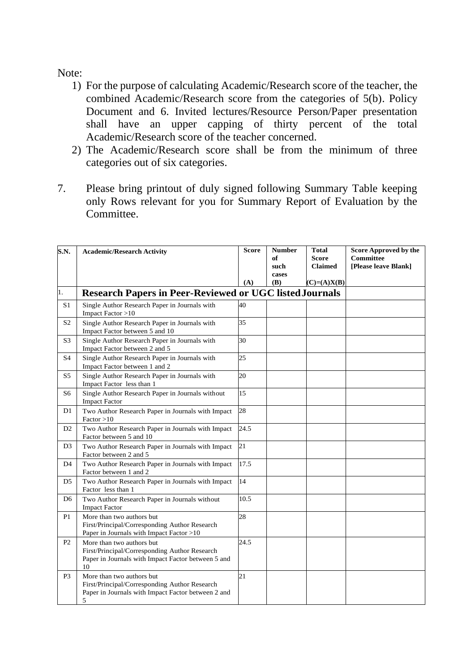## Note:

- 1) For the purpose of calculating Academic/Research score of the teacher, the combined Academic/Research score from the categories of 5(b). Policy Document and 6. Invited lectures/Resource Person/Paper presentation shall have an upper capping of thirty percent of the total Academic/Research score of the teacher concerned.
- 2) The Academic/Research score shall be from the minimum of three categories out of six categories.
- 7. Please bring printout of duly signed following Summary Table keeping only Rows relevant for you for Summary Report of Evaluation by the Committee.

| S.N.           | <b>Academic/Research Activity</b>                                                                                                      | <b>Score</b> | <b>Number</b> | <b>Total</b>   | <b>Score Approved by the</b> |
|----------------|----------------------------------------------------------------------------------------------------------------------------------------|--------------|---------------|----------------|------------------------------|
|                |                                                                                                                                        |              | оf            | <b>Score</b>   | <b>Committee</b>             |
|                |                                                                                                                                        |              | such          | <b>Claimed</b> | [Please leave Blank]         |
|                |                                                                                                                                        |              | cases         |                |                              |
|                |                                                                                                                                        | (A)          | (B)           | $(C)=(A)X(B)$  |                              |
| 1.             | <b>Research Papers in Peer-Reviewed or UGC listed Journals</b>                                                                         |              |               |                |                              |
| S <sub>1</sub> | Single Author Research Paper in Journals with<br>Impact Factor >10                                                                     | 40           |               |                |                              |
| S <sub>2</sub> | Single Author Research Paper in Journals with<br>Impact Factor between 5 and 10                                                        | 35           |               |                |                              |
| S <sub>3</sub> | Single Author Research Paper in Journals with<br>Impact Factor between 2 and 5                                                         | 30           |               |                |                              |
| S <sub>4</sub> | Single Author Research Paper in Journals with<br>Impact Factor between 1 and 2                                                         | 25           |               |                |                              |
| S <sub>5</sub> | Single Author Research Paper in Journals with<br>Impact Factor less than 1                                                             | 20           |               |                |                              |
| S <sub>6</sub> | Single Author Research Paper in Journals without<br><b>Impact Factor</b>                                                               | 15           |               |                |                              |
| D <sub>1</sub> | Two Author Research Paper in Journals with Impact<br>Factor > 10                                                                       | 28           |               |                |                              |
| D2             | Two Author Research Paper in Journals with Impact<br>Factor between 5 and 10                                                           | 24.5         |               |                |                              |
| D <sub>3</sub> | Two Author Research Paper in Journals with Impact<br>Factor between 2 and 5                                                            | 21           |               |                |                              |
| D <sub>4</sub> | Two Author Research Paper in Journals with Impact<br>Factor between 1 and 2                                                            | 17.5         |               |                |                              |
| D <sub>5</sub> | Two Author Research Paper in Journals with Impact<br>Factor less than 1                                                                | 14           |               |                |                              |
| D <sub>6</sub> | Two Author Research Paper in Journals without<br><b>Impact Factor</b>                                                                  | 10.5         |               |                |                              |
| P <sub>1</sub> | More than two authors but<br>First/Principal/Corresponding Author Research<br>Paper in Journals with Impact Factor >10                 | 28           |               |                |                              |
| P <sub>2</sub> | More than two authors but<br>First/Principal/Corresponding Author Research<br>Paper in Journals with Impact Factor between 5 and<br>10 | 24.5         |               |                |                              |
| P <sub>3</sub> | More than two authors but<br>First/Principal/Corresponding Author Research<br>Paper in Journals with Impact Factor between 2 and<br>5  | 21           |               |                |                              |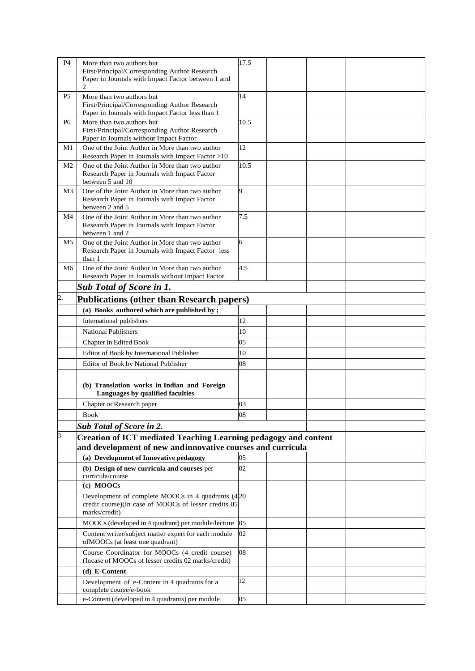| P4               | More than two authors but<br>First/Principal/Corresponding Author Research<br>Paper in Journals with Impact Factor between 1 and<br>$\overline{2}$ | 17.5 |  |  |
|------------------|----------------------------------------------------------------------------------------------------------------------------------------------------|------|--|--|
| P <sub>5</sub>   | More than two authors but<br>First/Principal/Corresponding Author Research<br>Paper in Journals with Impact Factor less than 1                     | 14   |  |  |
| P <sub>6</sub>   | More than two authors but<br>First/Principal/Corresponding Author Research<br>Paper in Journals without Impact Factor                              | 10.5 |  |  |
| M1               | One of the Joint Author in More than two author<br>Research Paper in Journals with Impact Factor >10                                               | 12   |  |  |
| M <sub>2</sub>   | One of the Joint Author in More than two author<br>Research Paper in Journals with Impact Factor<br>between 5 and 10                               | 10.5 |  |  |
| M <sub>3</sub>   | One of the Joint Author in More than two author<br>Research Paper in Journals with Impact Factor<br>between 2 and 5                                | 9    |  |  |
| M4               | One of the Joint Author in More than two author<br>Research Paper in Journals with Impact Factor<br>between 1 and 2                                | 7.5  |  |  |
| M <sub>5</sub>   | One of the Joint Author in More than two author<br>Research Paper in Journals with Impact Factor less<br>than 1                                    | 6    |  |  |
| M <sub>6</sub>   | One of the Joint Author in More than two author<br>Research Paper in Journals without Impact Factor                                                | 4.5  |  |  |
|                  | <b>Sub Total of Score in 1.</b>                                                                                                                    |      |  |  |
| $\overline{2}$ . | Publications (other than Research papers)                                                                                                          |      |  |  |
|                  | (a) Books authored which are published by;                                                                                                         |      |  |  |
|                  | International publishers                                                                                                                           | 12   |  |  |
|                  | <b>National Publishers</b>                                                                                                                         | 10   |  |  |
|                  | Chapter in Edited Book                                                                                                                             | 05   |  |  |
|                  | Editor of Book by International Publisher                                                                                                          | 10   |  |  |
|                  | Editor of Book by National Publisher                                                                                                               | 08   |  |  |
|                  |                                                                                                                                                    |      |  |  |
|                  | (b) Translation works in Indian and Foreign<br>Languages by qualified faculties                                                                    |      |  |  |
|                  | Chapter or Research paper                                                                                                                          | 03   |  |  |
|                  | Book                                                                                                                                               | 08   |  |  |
|                  | <b>Sub Total of Score in 2.</b>                                                                                                                    |      |  |  |
| 3.               | <b>Creation of ICT mediated Teaching Learning pedagogy and content</b><br>and development of new andinnovative courses and curricula               |      |  |  |
|                  | (a) Development of Innovative pedagogy                                                                                                             | 05   |  |  |
|                  | (b) Design of new curricula and courses per<br>curricula/course                                                                                    | 02   |  |  |
|                  | (c) MOOCs                                                                                                                                          |      |  |  |
|                  | Development of complete MOOCs in 4 quadrants $(4 20)$<br>credit course)(In case of MOOCs of lesser credits 05<br>marks/credit)                     |      |  |  |
|                  | MOOCs (developed in 4 quadrant) per module/lecture                                                                                                 | 05   |  |  |
|                  | Content writer/subject matter expert for each module<br>ofMOOCs (at least one quadrant)                                                            | 02   |  |  |
|                  | Course Coordinator for MOOCs (4 credit course)<br>(Incase of MOOCs of lesser credits 02 marks/credit)                                              | 08   |  |  |
|                  | (d) E-Content                                                                                                                                      |      |  |  |
|                  | Development of e-Content in 4 quadrants for a<br>complete course/e-book                                                                            | 12   |  |  |
|                  | e-Content (developed in 4 quadrants) per module                                                                                                    | 05   |  |  |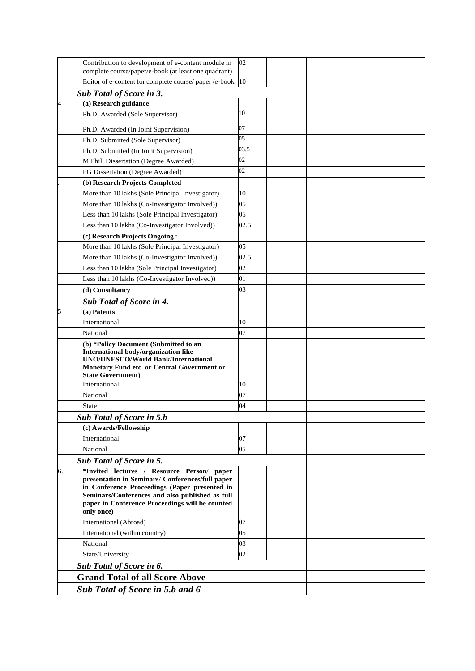|                | Contribution to development of e-content module in<br>complete course/paper/e-book (at least one quadrant)                                                                                                                                                          | 02   |  |
|----------------|---------------------------------------------------------------------------------------------------------------------------------------------------------------------------------------------------------------------------------------------------------------------|------|--|
|                | Editor of e-content for complete course/ paper /e-book                                                                                                                                                                                                              | 10   |  |
|                | <b>Sub Total of Score in 3.</b>                                                                                                                                                                                                                                     |      |  |
| $\overline{4}$ | (a) Research guidance                                                                                                                                                                                                                                               |      |  |
|                | Ph.D. Awarded (Sole Supervisor)                                                                                                                                                                                                                                     | 10   |  |
|                |                                                                                                                                                                                                                                                                     |      |  |
|                | Ph.D. Awarded (In Joint Supervision)                                                                                                                                                                                                                                | 07   |  |
|                | Ph.D. Submitted (Sole Supervisor)                                                                                                                                                                                                                                   | 05   |  |
|                | Ph.D. Submitted (In Joint Supervision)                                                                                                                                                                                                                              | 03.5 |  |
|                | M.Phil. Dissertation (Degree Awarded)                                                                                                                                                                                                                               | 02   |  |
|                | PG Dissertation (Degree Awarded)                                                                                                                                                                                                                                    | 02   |  |
|                | (b) Research Projects Completed                                                                                                                                                                                                                                     |      |  |
|                | More than 10 lakhs (Sole Principal Investigator)                                                                                                                                                                                                                    | 10   |  |
|                | More than 10 lakhs (Co-Investigator Involved))                                                                                                                                                                                                                      | 05   |  |
|                | Less than 10 lakhs (Sole Principal Investigator)                                                                                                                                                                                                                    | 05   |  |
|                | Less than 10 lakhs (Co-Investigator Involved))                                                                                                                                                                                                                      | 02.5 |  |
|                | (c) Research Projects Ongoing:                                                                                                                                                                                                                                      |      |  |
|                | More than 10 lakhs (Sole Principal Investigator)                                                                                                                                                                                                                    | 05   |  |
|                | More than 10 lakhs (Co-Investigator Involved))                                                                                                                                                                                                                      | 02.5 |  |
|                | Less than 10 lakhs (Sole Principal Investigator)                                                                                                                                                                                                                    | 02   |  |
|                | Less than 10 lakhs (Co-Investigator Involved))                                                                                                                                                                                                                      | 01   |  |
|                | (d) Consultancy                                                                                                                                                                                                                                                     | 03   |  |
|                | Sub Total of Score in 4.                                                                                                                                                                                                                                            |      |  |
| 5              | (a) Patents                                                                                                                                                                                                                                                         |      |  |
|                | International                                                                                                                                                                                                                                                       | 10   |  |
|                | National                                                                                                                                                                                                                                                            | 07   |  |
|                | (b) *Policy Document (Submitted to an<br>International body/organization like<br><b>UNO/UNESCO/World Bank/International</b><br>Monetary Fund etc. or Central Government or<br><b>State Government)</b>                                                              |      |  |
|                | International                                                                                                                                                                                                                                                       | 10   |  |
|                | National                                                                                                                                                                                                                                                            | 07   |  |
|                | State                                                                                                                                                                                                                                                               | 04   |  |
|                | <b>Sub Total of Score in 5.b</b>                                                                                                                                                                                                                                    |      |  |
|                | (c) Awards/Fellowship                                                                                                                                                                                                                                               |      |  |
|                | International                                                                                                                                                                                                                                                       | 07   |  |
|                | National                                                                                                                                                                                                                                                            | 05   |  |
|                | <b>Sub Total of Score in 5.</b>                                                                                                                                                                                                                                     |      |  |
| 6.             | *Invited lectures / Resource Person/ paper<br>presentation in Seminars/ Conferences/full paper<br>in Conference Proceedings (Paper presented in<br>Seminars/Conferences and also published as full<br>paper in Conference Proceedings will be counted<br>only once) |      |  |
|                | International (Abroad)                                                                                                                                                                                                                                              | 07   |  |
|                | International (within country)                                                                                                                                                                                                                                      | 05   |  |
|                | National                                                                                                                                                                                                                                                            | 03   |  |
|                | State/University                                                                                                                                                                                                                                                    | 02   |  |
|                | Sub Total of Score in 6.                                                                                                                                                                                                                                            |      |  |
|                | <b>Grand Total of all Score Above</b>                                                                                                                                                                                                                               |      |  |
|                |                                                                                                                                                                                                                                                                     |      |  |
|                | <b>Sub Total of Score in 5.b and 6</b>                                                                                                                                                                                                                              |      |  |